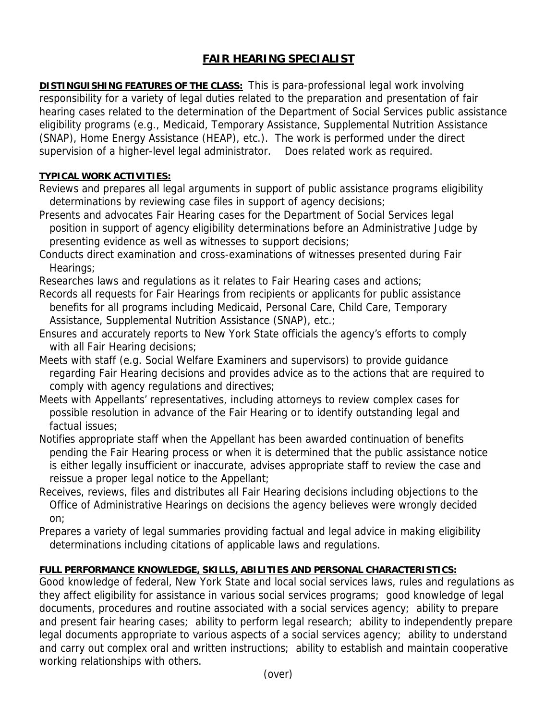## **FAIR HEARING SPECIALIST**

**DISTINGUISHING FEATURES OF THE CLASS:** This is para-professional legal work involving responsibility for a variety of legal duties related to the preparation and presentation of fair hearing cases related to the determination of the Department of Social Services public assistance eligibility programs (e.g., Medicaid, Temporary Assistance, Supplemental Nutrition Assistance (SNAP), Home Energy Assistance (HEAP), etc.). The work is performed under the direct supervision of a higher-level legal administrator. Does related work as required.

## **TYPICAL WORK ACTIVITIES:**

- Reviews and prepares all legal arguments in support of public assistance programs eligibility determinations by reviewing case files in support of agency decisions;
- Presents and advocates Fair Hearing cases for the Department of Social Services legal position in support of agency eligibility determinations before an Administrative Judge by presenting evidence as well as witnesses to support decisions;
- Conducts direct examination and cross-examinations of witnesses presented during Fair Hearings;
- Researches laws and regulations as it relates to Fair Hearing cases and actions;
- Records all requests for Fair Hearings from recipients or applicants for public assistance benefits for all programs including Medicaid, Personal Care, Child Care, Temporary Assistance, Supplemental Nutrition Assistance (SNAP), etc.;
- Ensures and accurately reports to New York State officials the agency's efforts to comply with all Fair Hearing decisions;
- Meets with staff (e.g. Social Welfare Examiners and supervisors) to provide guidance regarding Fair Hearing decisions and provides advice as to the actions that are required to comply with agency regulations and directives;
- Meets with Appellants' representatives, including attorneys to review complex cases for possible resolution in advance of the Fair Hearing or to identify outstanding legal and factual issues;
- Notifies appropriate staff when the Appellant has been awarded continuation of benefits pending the Fair Hearing process or when it is determined that the public assistance notice is either legally insufficient or inaccurate, advises appropriate staff to review the case and reissue a proper legal notice to the Appellant;
- Receives, reviews, files and distributes all Fair Hearing decisions including objections to the Office of Administrative Hearings on decisions the agency believes were wrongly decided on;
- Prepares a variety of legal summaries providing factual and legal advice in making eligibility determinations including citations of applicable laws and regulations.

## **FULL PERFORMANCE KNOWLEDGE, SKILLS, ABILITIES AND PERSONAL CHARACTERISTICS:**

Good knowledge of federal, New York State and local social services laws, rules and regulations as they affect eligibility for assistance in various social services programs; good knowledge of legal documents, procedures and routine associated with a social services agency; ability to prepare and present fair hearing cases; ability to perform legal research; ability to independently prepare legal documents appropriate to various aspects of a social services agency; ability to understand and carry out complex oral and written instructions; ability to establish and maintain cooperative working relationships with others.